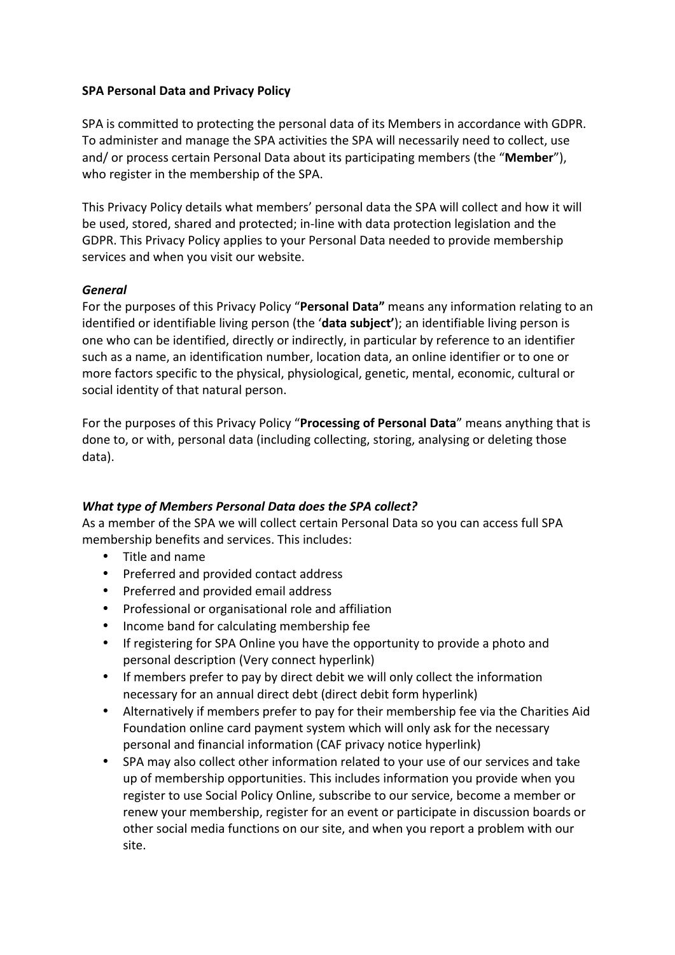### **SPA Personal Data and Privacy Policy**

SPA is committed to protecting the personal data of its Members in accordance with GDPR. To administer and manage the SPA activities the SPA will necessarily need to collect, use and/ or process certain Personal Data about its participating members (the "Member"), who register in the membership of the SPA.

This Privacy Policy details what members' personal data the SPA will collect and how it will be used, stored, shared and protected; in-line with data protection legislation and the GDPR. This Privacy Policy applies to your Personal Data needed to provide membership services and when you visit our website.

### *General*

For the purposes of this Privacy Policy "Personal Data" means any information relating to an identified or identifiable living person (the 'data subject'); an identifiable living person is one who can be identified, directly or indirectly, in particular by reference to an identifier such as a name, an identification number, location data, an online identifier or to one or more factors specific to the physical, physiological, genetic, mental, economic, cultural or social identity of that natural person.

For the purposes of this Privacy Policy "**Processing of Personal Data**" means anything that is done to, or with, personal data (including collecting, storing, analysing or deleting those data).

## *What type of Members Personal Data does the SPA collect?*

As a member of the SPA we will collect certain Personal Data so you can access full SPA membership benefits and services. This includes:

- Title and name
- Preferred and provided contact address
- Preferred and provided email address
- Professional or organisational role and affiliation
- Income band for calculating membership fee
- If registering for SPA Online you have the opportunity to provide a photo and personal description (Very connect hyperlink)
- If members prefer to pay by direct debit we will only collect the information necessary for an annual direct debt (direct debit form hyperlink)
- Alternatively if members prefer to pay for their membership fee via the Charities Aid Foundation online card payment system which will only ask for the necessary personal and financial information (CAF privacy notice hyperlink)
- SPA may also collect other information related to your use of our services and take up of membership opportunities. This includes information you provide when you register to use Social Policy Online, subscribe to our service, become a member or renew your membership, register for an event or participate in discussion boards or other social media functions on our site, and when you report a problem with our site.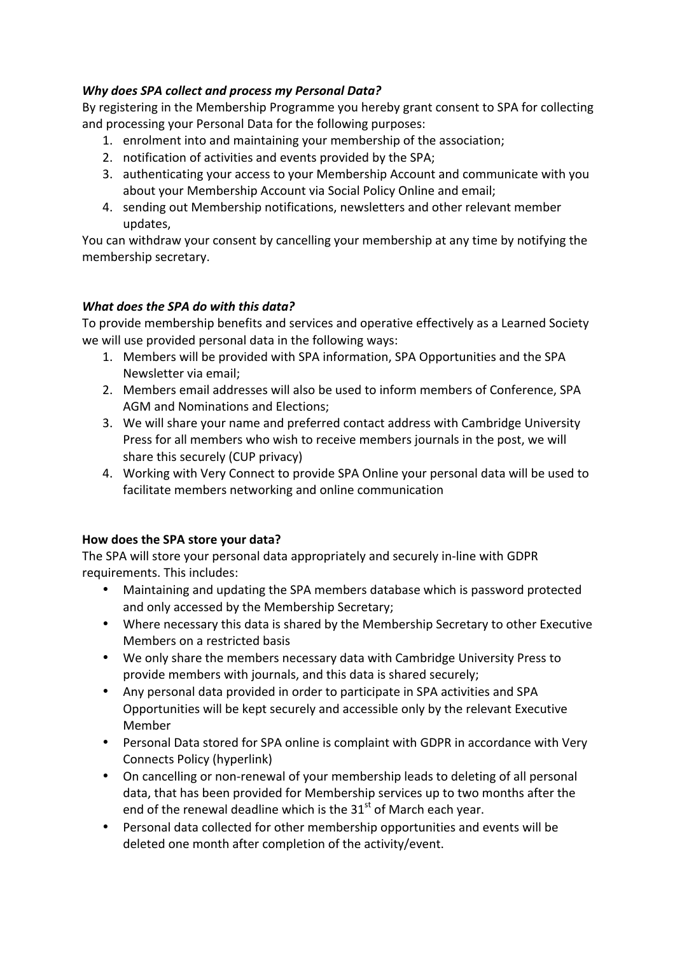# *Why does SPA collect and process my Personal Data?*

By registering in the Membership Programme you hereby grant consent to SPA for collecting and processing your Personal Data for the following purposes:

- 1. enrolment into and maintaining your membership of the association;
- 2. notification of activities and events provided by the SPA;
- 3. authenticating your access to your Membership Account and communicate with you about your Membership Account via Social Policy Online and email;
- 4. sending out Membership notifications, newsletters and other relevant member updates,

You can withdraw your consent by cancelling your membership at any time by notifying the membership secretary.

# *What does the SPA do with this data?*

To provide membership benefits and services and operative effectively as a Learned Society we will use provided personal data in the following ways:

- 1. Members will be provided with SPA information, SPA Opportunities and the SPA Newsletter via email:
- 2. Members email addresses will also be used to inform members of Conference, SPA AGM and Nominations and Elections;
- 3. We will share your name and preferred contact address with Cambridge University Press for all members who wish to receive members journals in the post, we will share this securely (CUP privacy)
- 4. Working with Very Connect to provide SPA Online your personal data will be used to facilitate members networking and online communication

## How does the SPA store your data?

The SPA will store your personal data appropriately and securely in-line with GDPR requirements. This includes:

- Maintaining and updating the SPA members database which is password protected and only accessed by the Membership Secretary;
- Where necessary this data is shared by the Membership Secretary to other Executive Members on a restricted basis
- We only share the members necessary data with Cambridge University Press to provide members with journals, and this data is shared securely;
- Any personal data provided in order to participate in SPA activities and SPA Opportunities will be kept securely and accessible only by the relevant Executive Member
- Personal Data stored for SPA online is complaint with GDPR in accordance with Very Connects Policy (hyperlink)
- On cancelling or non-renewal of your membership leads to deleting of all personal data, that has been provided for Membership services up to two months after the end of the renewal deadline which is the  $31<sup>st</sup>$  of March each year.
- Personal data collected for other membership opportunities and events will be deleted one month after completion of the activity/event.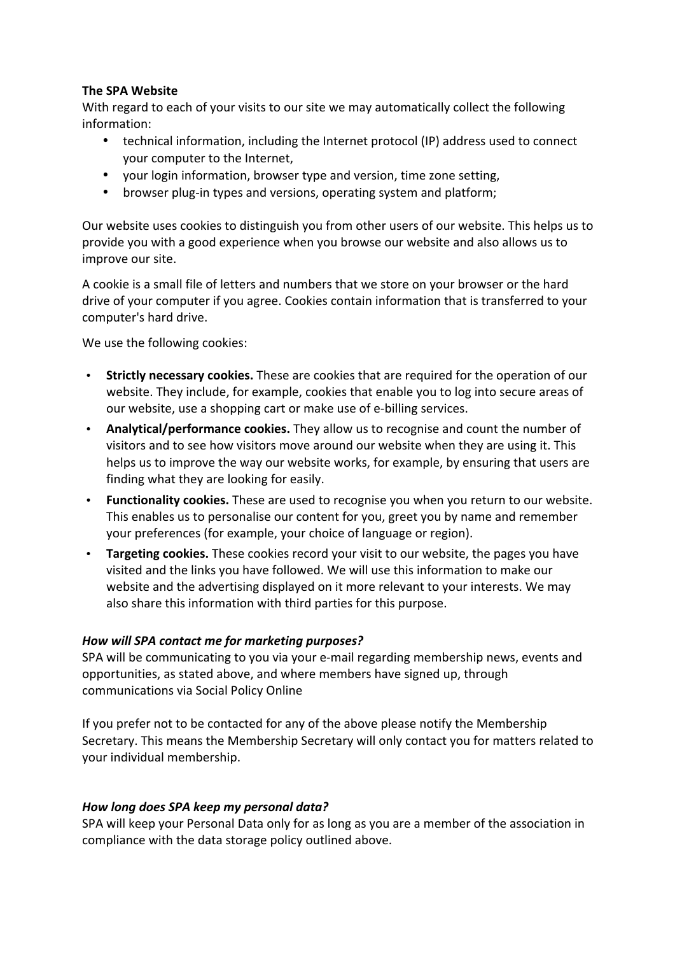### **The SPA Website**

With regard to each of your visits to our site we may automatically collect the following information:

- technical information, including the Internet protocol (IP) address used to connect your computer to the Internet,
- your login information, browser type and version, time zone setting,
- browser plug-in types and versions, operating system and platform;

Our website uses cookies to distinguish you from other users of our website. This helps us to provide you with a good experience when you browse our website and also allows us to improve our site.

A cookie is a small file of letters and numbers that we store on your browser or the hard drive of your computer if you agree. Cookies contain information that is transferred to your computer's hard drive.

We use the following cookies:

- Strictly necessary cookies. These are cookies that are required for the operation of our website. They include, for example, cookies that enable you to log into secure areas of our website, use a shopping cart or make use of e-billing services.
- **Analytical/performance cookies.** They allow us to recognise and count the number of visitors and to see how visitors move around our website when they are using it. This helps us to improve the way our website works, for example, by ensuring that users are finding what they are looking for easily.
- Functionality cookies. These are used to recognise you when you return to our website. This enables us to personalise our content for you, greet you by name and remember your preferences (for example, your choice of language or region).
- **Targeting cookies.** These cookies record your visit to our website, the pages you have visited and the links you have followed. We will use this information to make our website and the advertising displayed on it more relevant to your interests. We may also share this information with third parties for this purpose.

## *How will SPA contact me for marketing purposes?*

SPA will be communicating to you via your e-mail regarding membership news, events and opportunities, as stated above, and where members have signed up, through communications via Social Policy Online

If you prefer not to be contacted for any of the above please notify the Membership Secretary. This means the Membership Secretary will only contact you for matters related to your individual membership.

## *How long does SPA keep my personal data?*

SPA will keep your Personal Data only for as long as you are a member of the association in compliance with the data storage policy outlined above.